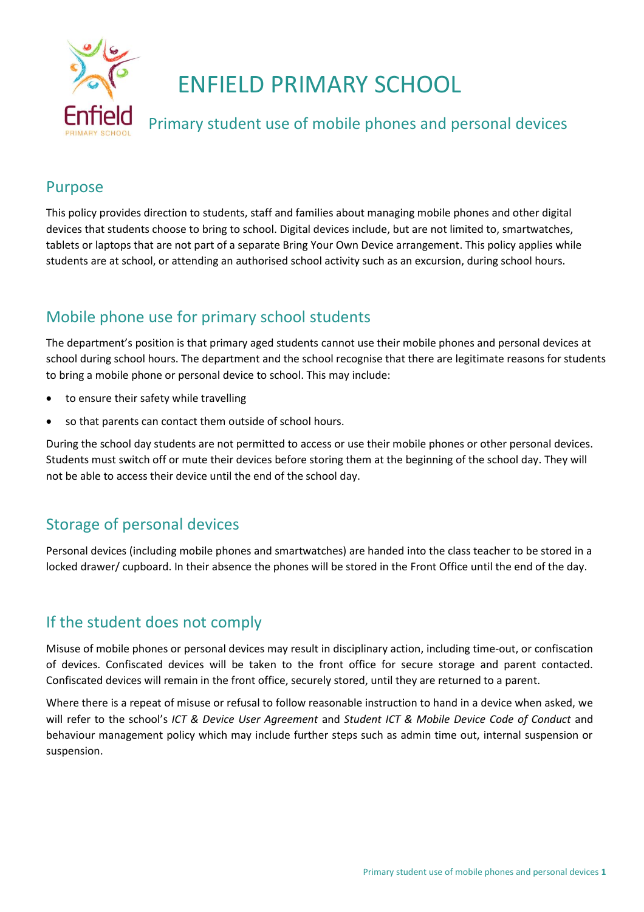

# ENFIELD PRIMARY SCHOOL

# Primary student use of mobile phones and personal devices

### Purpose

This policy provides direction to students, staff and families about managing mobile phones and other digital devices that students choose to bring to school. Digital devices include, but are not limited to, smartwatches, tablets or laptops that are not part of a separate Bring Your Own Device arrangement. This policy applies while students are at school, or attending an authorised school activity such as an excursion, during school hours.

# Mobile phone use for primary school students

The department's position is that primary aged students cannot use their mobile phones and personal devices at school during school hours. The department and the school recognise that there are legitimate reasons for students to bring a mobile phone or personal device to school. This may include:

- to ensure their safety while travelling
- so that parents can contact them outside of school hours.

During the school day students are not permitted to access or use their mobile phones or other personal devices. Students must switch off or mute their devices before storing them at the beginning of the school day. They will not be able to access their device until the end of the school day.

### Storage of personal devices

Personal devices (including mobile phones and smartwatches) are handed into the class teacher to be stored in a locked drawer/ cupboard. In their absence the phones will be stored in the Front Office until the end of the day.

# If the student does not comply

Misuse of mobile phones or personal devices may result in disciplinary action, including time-out, or confiscation of devices. Confiscated devices will be taken to the front office for secure storage and parent contacted. Confiscated devices will remain in the front office, securely stored, until they are returned to a parent.

Where there is a repeat of misuse or refusal to follow reasonable instruction to hand in a device when asked, we will refer to the school's *ICT & Device User Agreement* and *Student ICT & Mobile Device Code of Conduct* and behaviour management policy which may include further steps such as admin time out, internal suspension or suspension.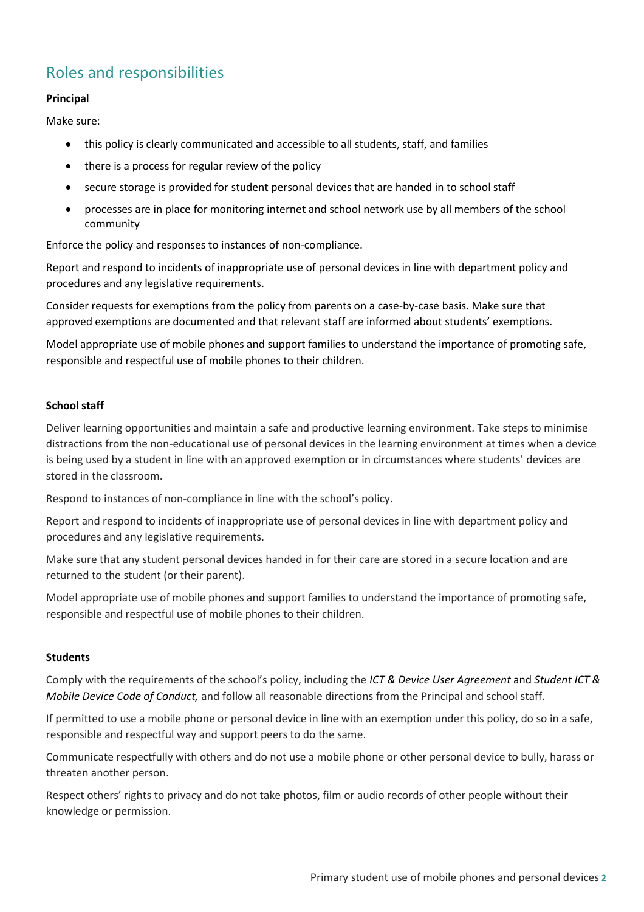# Roles and responsibilities

#### **Principal**

Make sure:

- this policy is clearly communicated and accessible to all students, staff, and families
- there is a process for regular review of the policy
- secure storage is provided for student personal devices that are handed in to school staff
- processes are in place for monitoring internet and school network use by all members of the school community

Enforce the policy and responses to instances of non-compliance.

Report and respond to incidents of inappropriate use of personal devices in line with department policy and procedures and any legislative requirements.

Consider requests for exemptions from the policy from parents on a case-by-case basis. Make sure that approved exemptions are documented and that relevant staff are informed about students' exemptions.

Model appropriate use of mobile phones and support families to understand the importance of promoting safe, responsible and respectful use of mobile phones to their children.

#### **School staff**

Deliver learning opportunities and maintain a safe and productive learning environment. Take steps to minimise distractions from the non-educational use of personal devices in the learning environment at times when a device is being used by a student in line with an approved exemption or in circumstances where students' devices are stored in the classroom.

Respond to instances of non-compliance in line with the school's policy.

Report and respond to incidents of inappropriate use of personal devices in line with department policy and procedures and any legislative requirements.

Make sure that any student personal devices handed in for their care are stored in a secure location and are returned to the student (or their parent).

Model appropriate use of mobile phones and support families to understand the importance of promoting safe, responsible and respectful use of mobile phones to their children.

#### **Students**

Comply with the requirements of the school's policy, including the *ICT & Device User Agreement* and *Student ICT & Mobile Device Code of Conduct,* and follow all reasonable directions from the Principal and school staff.

If permitted to use a mobile phone or personal device in line with an exemption under this policy, do so in a safe, responsible and respectful way and support peers to do the same.

Communicate respectfully with others and do not use a mobile phone or other personal device to bully, harass or threaten another person.

Respect others' rights to privacy and do not take photos, film or audio records of other people without their knowledge or permission.